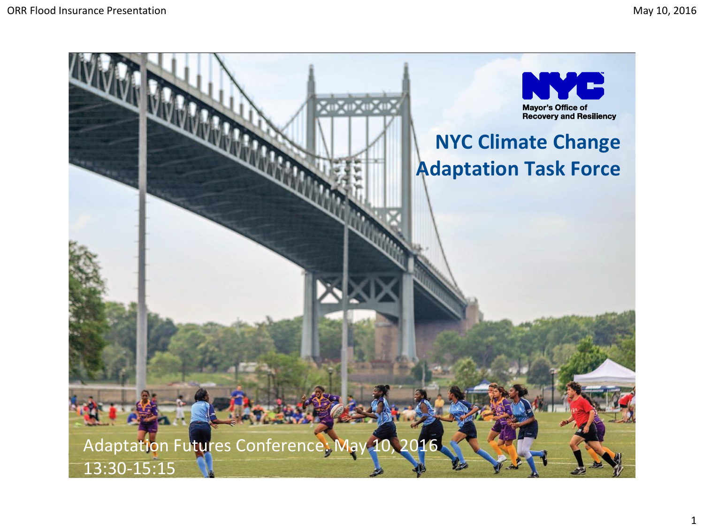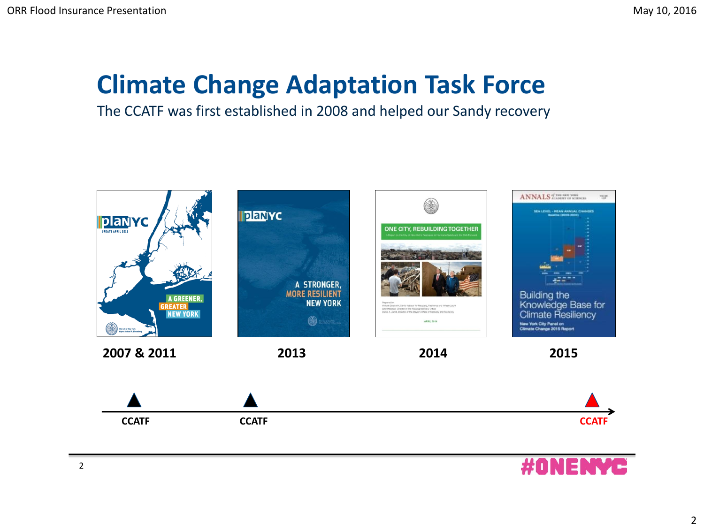# **Climate Change Adaptation Task Force**

The CCATF was first established in 2008 and helped our Sandy recovery

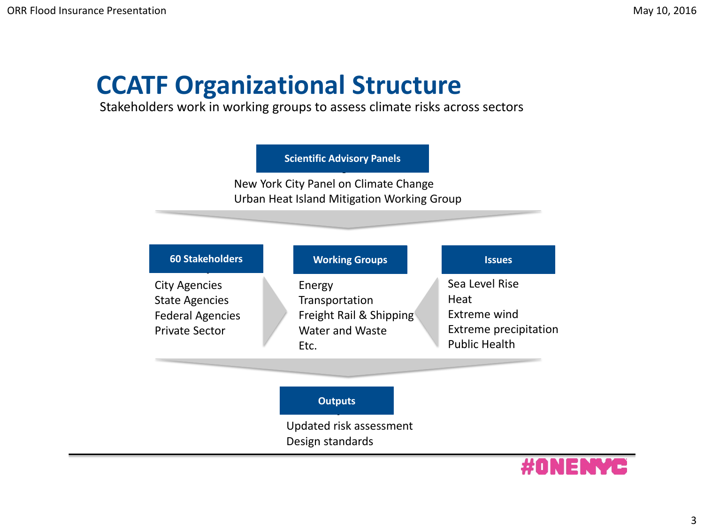# **CCATF Organizational Structure**

Stakeholders work in working groups to assess climate risks across sectors

**Scientific Advisory Panels** 

New York City Panel on Climate Change Urban Heat Island Mitigation Working Group



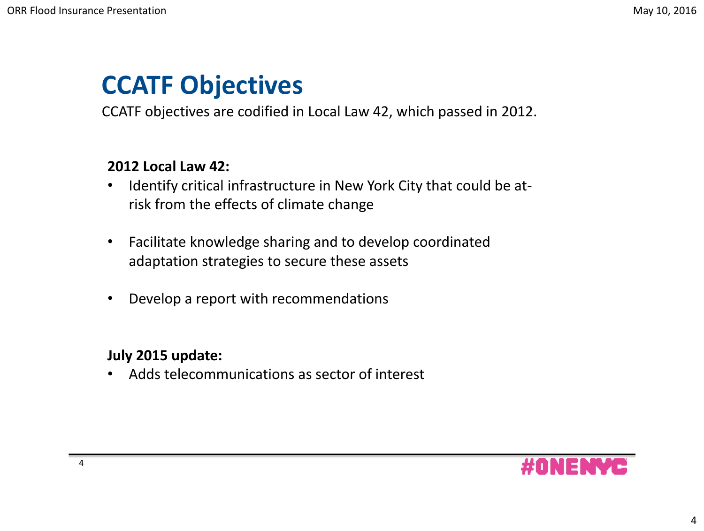# **CCATF Objectives**

CCATF objectives are codified in Local Law 42, which passed in 2012.

### **2012 Local Law 42:**

- Identify critical infrastructure in New York City that could be atrisk from the effects of climate change
- Facilitate knowledge sharing and to develop coordinated adaptation strategies to secure these assets
- Develop a report with recommendations

### **July 2015 update:**

• Adds telecommunications as sector of interest

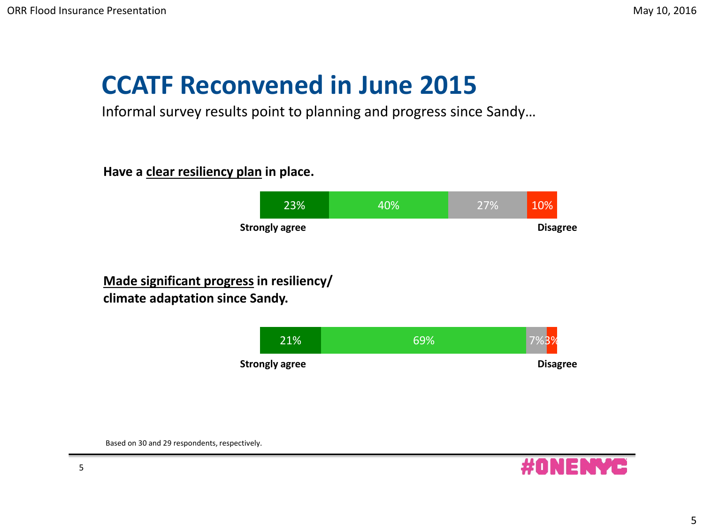# **CCATF Reconvened in June 2015**

Informal survey results point to planning and progress since Sandy…

#### **Have a clear resiliency plan in place.**



### **Made significant progress in resiliency/ climate adaptation since Sandy.**



Based on 30 and 29 respondents, respectively.

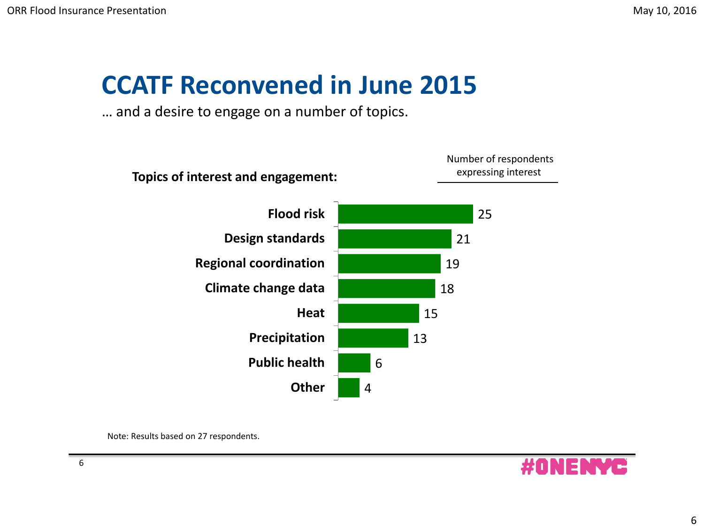# **CCATF Reconvened in June 2015**

… and a desire to engage on a number of topics.



Note: Results based on 27 respondents.

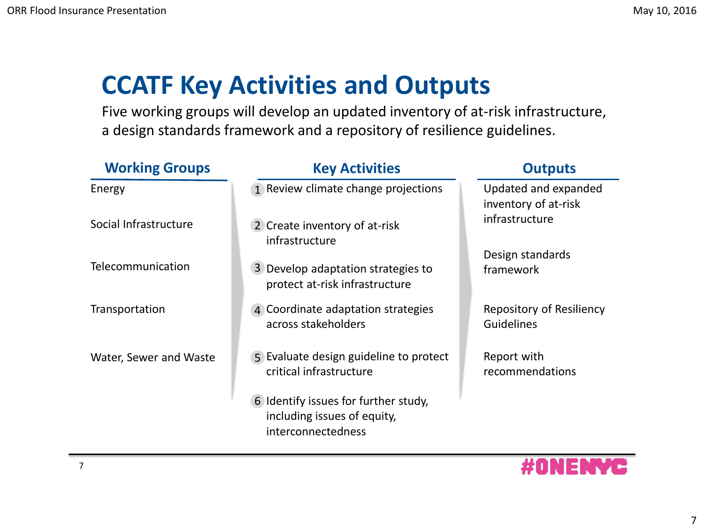# **CCATF Key Activities and Outputs**

Five working groups will develop an updated inventory of at-risk infrastructure, a design standards framework and a repository of resilience guidelines.

| <b>Working Groups</b>  | <b>Key Activities</b>                                                                     | <b>Outputs</b>                               |
|------------------------|-------------------------------------------------------------------------------------------|----------------------------------------------|
| Energy                 | 1 Review climate change projections                                                       | Updated and expanded<br>inventory of at-risk |
| Social Infrastructure  | 2 Create inventory of at-risk<br>infrastructure                                           | infrastructure                               |
| Telecommunication      |                                                                                           | Design standards                             |
|                        | 3 Develop adaptation strategies to<br>protect at-risk infrastructure                      | framework                                    |
| Transportation         | 4 Coordinate adaptation strategies<br>across stakeholders                                 | Repository of Resiliency<br>Guidelines       |
| Water, Sewer and Waste | 5 Evaluate design guideline to protect<br>critical infrastructure                         | Report with<br>recommendations               |
|                        | 6 Identify issues for further study,<br>including issues of equity,<br>interconnectedness |                                              |

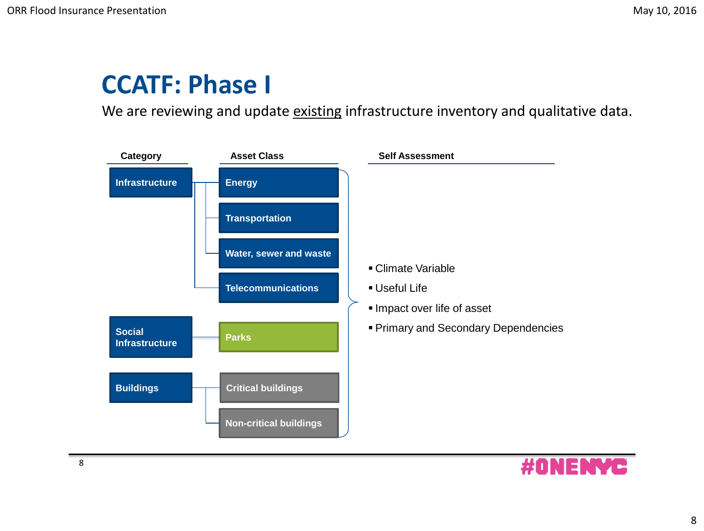# **CCATF: Phase I**

We are reviewing and update existing infrastructure inventory and qualitative data.



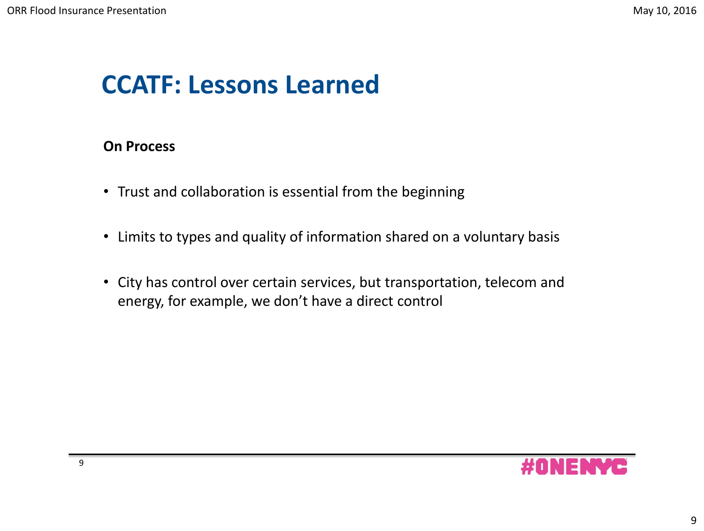## **CCATF: Lessons Learned**

#### **On Process**

- Trust and collaboration is essential from the beginning
- Limits to types and quality of information shared on a voluntary basis
- City has control over certain services, but transportation, telecom and energy, for example, we don't have a direct control

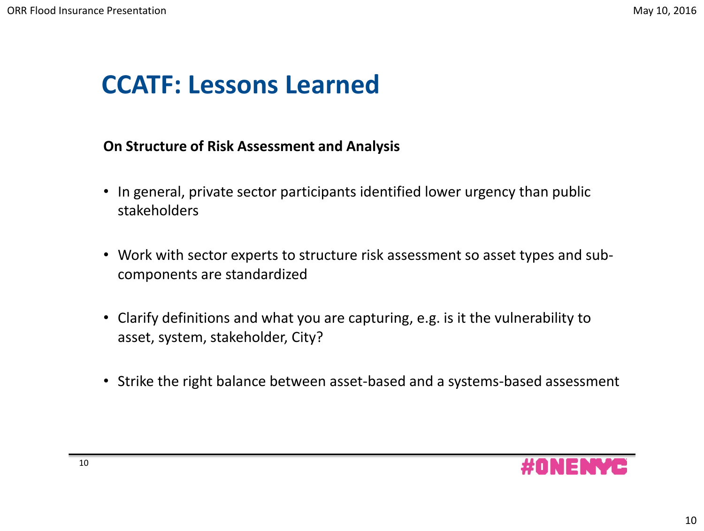## **CCATF: Lessons Learned**

### **On Structure of Risk Assessment and Analysis**

- In general, private sector participants identified lower urgency than public stakeholders
- Work with sector experts to structure risk assessment so asset types and subcomponents are standardized
- Clarify definitions and what you are capturing, e.g. is it the vulnerability to asset, system, stakeholder, City?
- Strike the right balance between asset-based and a systems-based assessment

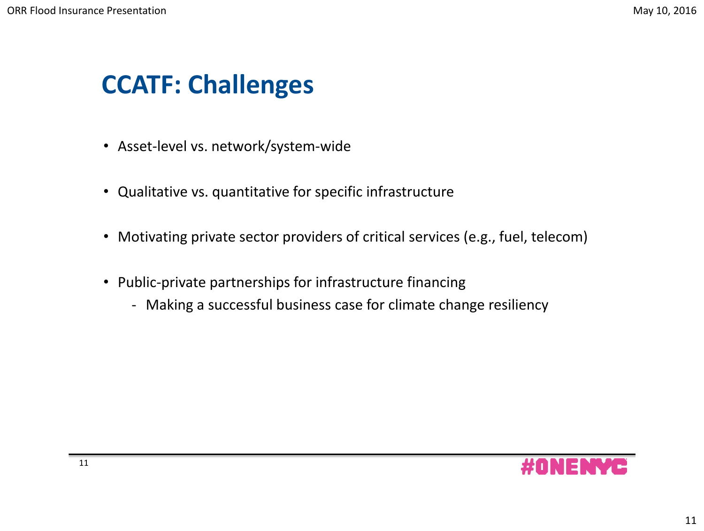## **CCATF: Challenges**

- Asset-level vs. network/system-wide
- Qualitative vs. quantitative for specific infrastructure
- Motivating private sector providers of critical services (e.g., fuel, telecom)
- Public-private partnerships for infrastructure financing
	- Making a successful business case for climate change resiliency

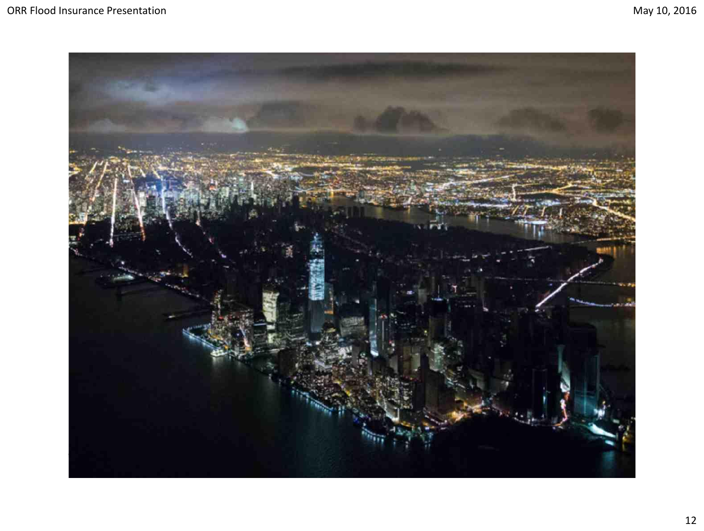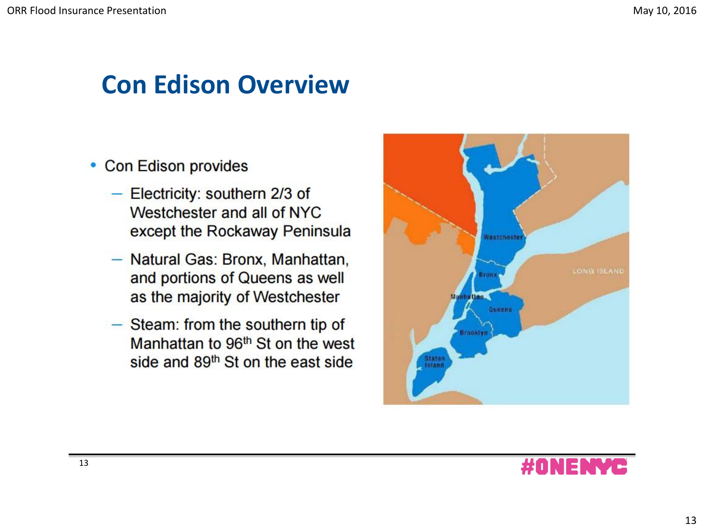## **Con Edison Overview**

- Con Edison provides
	- Electricity: southern 2/3 of Westchester and all of NYC except the Rockaway Peninsula
	- Natural Gas: Bronx, Manhattan, and portions of Queens as well as the majority of Westchester
	- Steam: from the southern tip of Manhattan to 96<sup>th</sup> St on the west side and 89<sup>th</sup> St on the east side



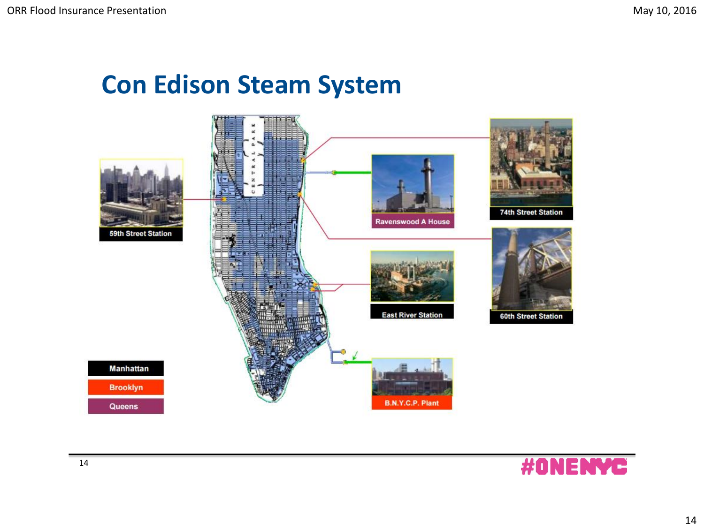### **Con Edison Steam System**



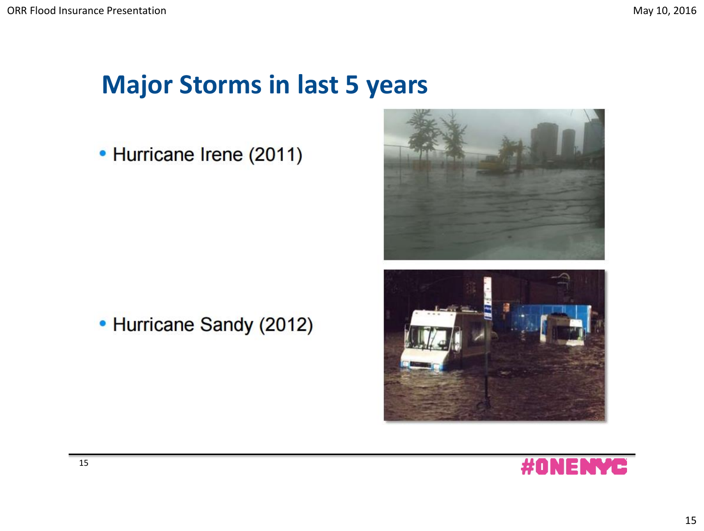# **Major Storms in last 5 years**

• Hurricane Irene (2011)

• Hurricane Sandy (2012)





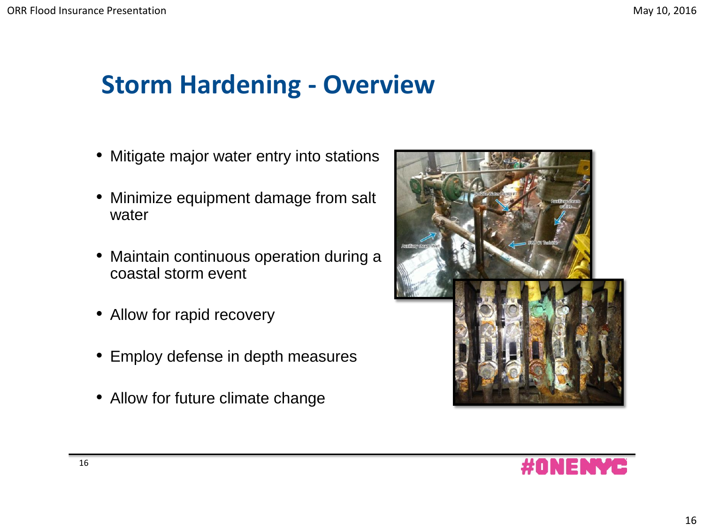## **Storm Hardening - Overview**

- Mitigate major water entry into stations
- Minimize equipment damage from salt water
- Maintain continuous operation during a coastal storm event
- Allow for rapid recovery
- Employ defense in depth measures
- Allow for future climate change